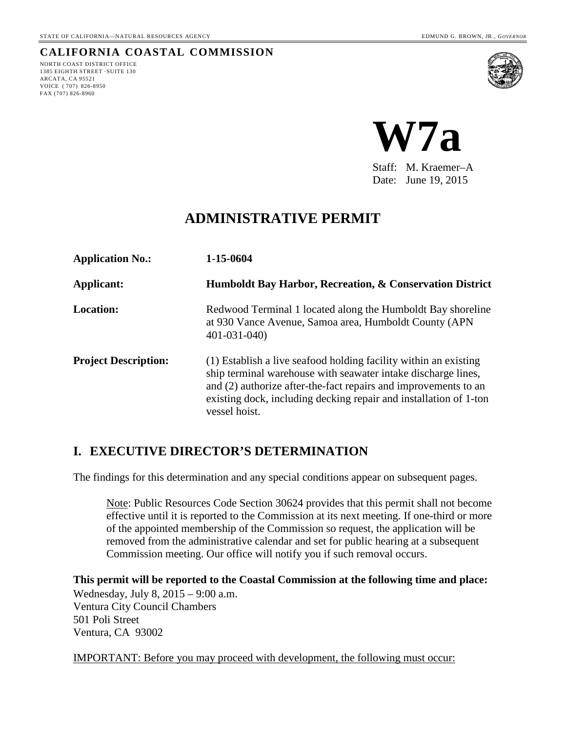# **CALIFORNIA COASTAL COMMISSION**

NORTH COAST DISTRICT OFFICE 1385 EIGHTH STREET ·SUITE 130 ARCATA, CA 95521 VOICE ( 707) 826-8950 FAX (707) 826-8960





Staff: M. Kraemer–A Date: June 19, 2015

# **ADMINISTRATIVE PERMIT**

| <b>Application No.:</b>     | 1-15-0604                                                                                                                                                                                                                                                                                  |  |  |  |  |  |  |
|-----------------------------|--------------------------------------------------------------------------------------------------------------------------------------------------------------------------------------------------------------------------------------------------------------------------------------------|--|--|--|--|--|--|
| <b>Applicant:</b>           | Humboldt Bay Harbor, Recreation, & Conservation District                                                                                                                                                                                                                                   |  |  |  |  |  |  |
| <b>Location:</b>            | Redwood Terminal 1 located along the Humboldt Bay shoreline<br>at 930 Vance Avenue, Samoa area, Humboldt County (APN)<br>$401 - 031 - 040$                                                                                                                                                 |  |  |  |  |  |  |
| <b>Project Description:</b> | (1) Establish a live seafood holding facility within an existing<br>ship terminal warehouse with seawater intake discharge lines,<br>and (2) authorize after-the-fact repairs and improvements to an<br>existing dock, including decking repair and installation of 1-ton<br>vessel hoist. |  |  |  |  |  |  |

# **I. EXECUTIVE DIRECTOR'S DETERMINATION**

The findings for this determination and any special conditions appear on subsequent pages.

Note: Public Resources Code Section 30624 provides that this permit shall not become effective until it is reported to the Commission at its next meeting. If one-third or more of the appointed membership of the Commission so request, the application will be removed from the administrative calendar and set for public hearing at a subsequent Commission meeting. Our office will notify you if such removal occurs.

**This permit will be reported to the Coastal Commission at the following time and place:**  Wednesday, July 8, 2015 – 9:00 a.m. Ventura City Council Chambers

501 Poli Street Ventura, CA 93002

IMPORTANT: Before you may proceed with development, the following must occur: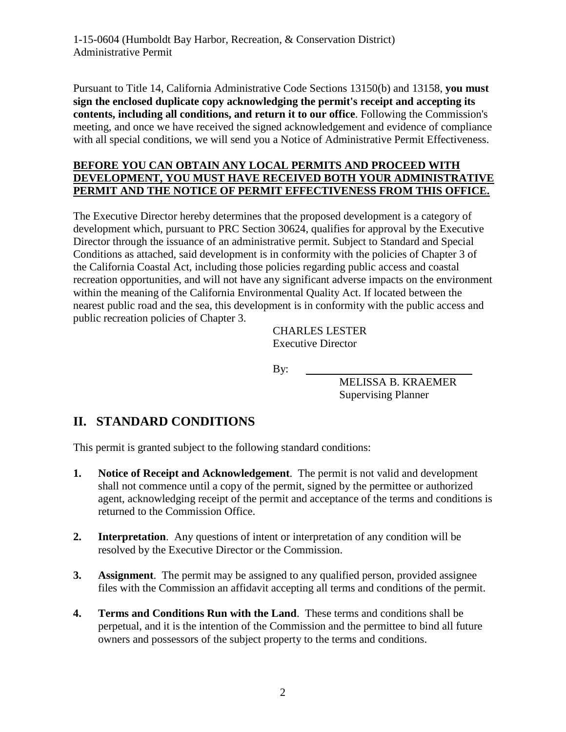Pursuant to Title 14, California Administrative Code Sections 13150(b) and 13158, **you must sign the enclosed duplicate copy acknowledging the permit's receipt and accepting its contents, including all conditions, and return it to our office**. Following the Commission's meeting, and once we have received the signed acknowledgement and evidence of compliance with all special conditions, we will send you a Notice of Administrative Permit Effectiveness.

#### **BEFORE YOU CAN OBTAIN ANY LOCAL PERMITS AND PROCEED WITH DEVELOPMENT, YOU MUST HAVE RECEIVED BOTH YOUR ADMINISTRATIVE PERMIT AND THE NOTICE OF PERMIT EFFECTIVENESS FROM THIS OFFICE.**

The Executive Director hereby determines that the proposed development is a category of development which, pursuant to PRC Section 30624, qualifies for approval by the Executive Director through the issuance of an administrative permit. Subject to Standard and Special Conditions as attached, said development is in conformity with the policies of Chapter 3 of the California Coastal Act, including those policies regarding public access and coastal recreation opportunities, and will not have any significant adverse impacts on the environment within the meaning of the California Environmental Quality Act. If located between the nearest public road and the sea, this development is in conformity with the public access and public recreation policies of Chapter 3.

> CHARLES LESTER Executive Director

By:

MELISSA B. KRAEMER Supervising Planner

# **II. STANDARD CONDITIONS**

This permit is granted subject to the following standard conditions:

- **1. Notice of Receipt and Acknowledgement**. The permit is not valid and development shall not commence until a copy of the permit, signed by the permittee or authorized agent, acknowledging receipt of the permit and acceptance of the terms and conditions is returned to the Commission Office.
- **2.** Interpretation. Any questions of intent or interpretation of any condition will be resolved by the Executive Director or the Commission.
- **3. Assignment**. The permit may be assigned to any qualified person, provided assignee files with the Commission an affidavit accepting all terms and conditions of the permit.
- **4. Terms and Conditions Run with the Land**. These terms and conditions shall be perpetual, and it is the intention of the Commission and the permittee to bind all future owners and possessors of the subject property to the terms and conditions.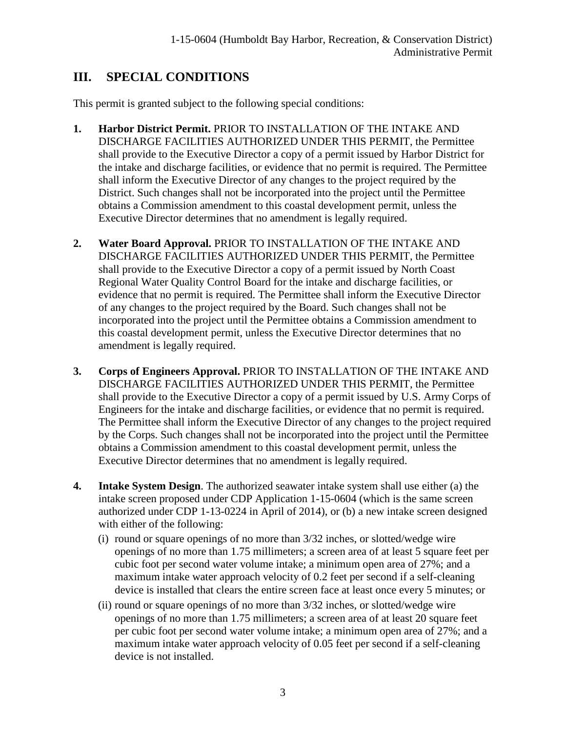# **III. SPECIAL CONDITIONS**

This permit is granted subject to the following special conditions:

- **1. Harbor District Permit.** PRIOR TO INSTALLATION OF THE INTAKE AND DISCHARGE FACILITIES AUTHORIZED UNDER THIS PERMIT, the Permittee shall provide to the Executive Director a copy of a permit issued by Harbor District for the intake and discharge facilities, or evidence that no permit is required. The Permittee shall inform the Executive Director of any changes to the project required by the District. Such changes shall not be incorporated into the project until the Permittee obtains a Commission amendment to this coastal development permit, unless the Executive Director determines that no amendment is legally required.
- **2. Water Board Approval.** PRIOR TO INSTALLATION OF THE INTAKE AND DISCHARGE FACILITIES AUTHORIZED UNDER THIS PERMIT, the Permittee shall provide to the Executive Director a copy of a permit issued by North Coast Regional Water Quality Control Board for the intake and discharge facilities, or evidence that no permit is required. The Permittee shall inform the Executive Director of any changes to the project required by the Board. Such changes shall not be incorporated into the project until the Permittee obtains a Commission amendment to this coastal development permit, unless the Executive Director determines that no amendment is legally required.
- **3. Corps of Engineers Approval.** PRIOR TO INSTALLATION OF THE INTAKE AND DISCHARGE FACILITIES AUTHORIZED UNDER THIS PERMIT, the Permittee shall provide to the Executive Director a copy of a permit issued by U.S. Army Corps of Engineers for the intake and discharge facilities, or evidence that no permit is required. The Permittee shall inform the Executive Director of any changes to the project required by the Corps. Such changes shall not be incorporated into the project until the Permittee obtains a Commission amendment to this coastal development permit, unless the Executive Director determines that no amendment is legally required.
- **4. Intake System Design**. The authorized seawater intake system shall use either (a) the intake screen proposed under CDP Application 1-15-0604 (which is the same screen authorized under CDP 1-13-0224 in April of 2014), or (b) a new intake screen designed with either of the following:
	- (i) round or square openings of no more than 3/32 inches, or slotted/wedge wire openings of no more than 1.75 millimeters; a screen area of at least 5 square feet per cubic foot per second water volume intake; a minimum open area of 27%; and a maximum intake water approach velocity of 0.2 feet per second if a self-cleaning device is installed that clears the entire screen face at least once every 5 minutes; or
	- (ii) round or square openings of no more than 3/32 inches, or slotted/wedge wire openings of no more than 1.75 millimeters; a screen area of at least 20 square feet per cubic foot per second water volume intake; a minimum open area of 27%; and a maximum intake water approach velocity of 0.05 feet per second if a self-cleaning device is not installed.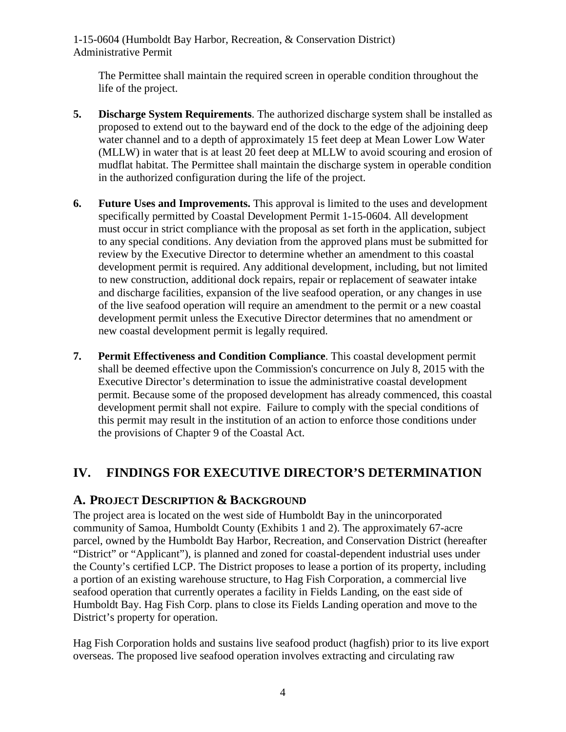The Permittee shall maintain the required screen in operable condition throughout the life of the project.

- **5. Discharge System Requirements**. The authorized discharge system shall be installed as proposed to extend out to the bayward end of the dock to the edge of the adjoining deep water channel and to a depth of approximately 15 feet deep at Mean Lower Low Water (MLLW) in water that is at least 20 feet deep at MLLW to avoid scouring and erosion of mudflat habitat. The Permittee shall maintain the discharge system in operable condition in the authorized configuration during the life of the project.
- **6. Future Uses and Improvements.** This approval is limited to the uses and development specifically permitted by Coastal Development Permit 1-15-0604. All development must occur in strict compliance with the proposal as set forth in the application, subject to any special conditions. Any deviation from the approved plans must be submitted for review by the Executive Director to determine whether an amendment to this coastal development permit is required. Any additional development, including, but not limited to new construction, additional dock repairs, repair or replacement of seawater intake and discharge facilities, expansion of the live seafood operation, or any changes in use of the live seafood operation will require an amendment to the permit or a new coastal development permit unless the Executive Director determines that no amendment or new coastal development permit is legally required.
- **7. Permit Effectiveness and Condition Compliance**. This coastal development permit shall be deemed effective upon the Commission's concurrence on July 8, 2015 with the Executive Director's determination to issue the administrative coastal development permit. Because some of the proposed development has already commenced, this coastal development permit shall not expire. Failure to comply with the special conditions of this permit may result in the institution of an action to enforce those conditions under the provisions of Chapter 9 of the Coastal Act.

# **IV. FINDINGS FOR EXECUTIVE DIRECTOR'S DETERMINATION**

### **A. PROJECT DESCRIPTION & BACKGROUND**

The project area is located on the west side of Humboldt Bay in the unincorporated community of Samoa, Humboldt County (Exhibits 1 and 2). The approximately 67-acre parcel, owned by the Humboldt Bay Harbor, Recreation, and Conservation District (hereafter "District" or "Applicant"), is planned and zoned for coastal-dependent industrial uses under the County's certified LCP. The District proposes to lease a portion of its property, including a portion of an existing warehouse structure, to Hag Fish Corporation, a commercial live seafood operation that currently operates a facility in Fields Landing, on the east side of Humboldt Bay. Hag Fish Corp. plans to close its Fields Landing operation and move to the District's property for operation.

Hag Fish Corporation holds and sustains live seafood product (hagfish) prior to its live export overseas. The proposed live seafood operation involves extracting and circulating raw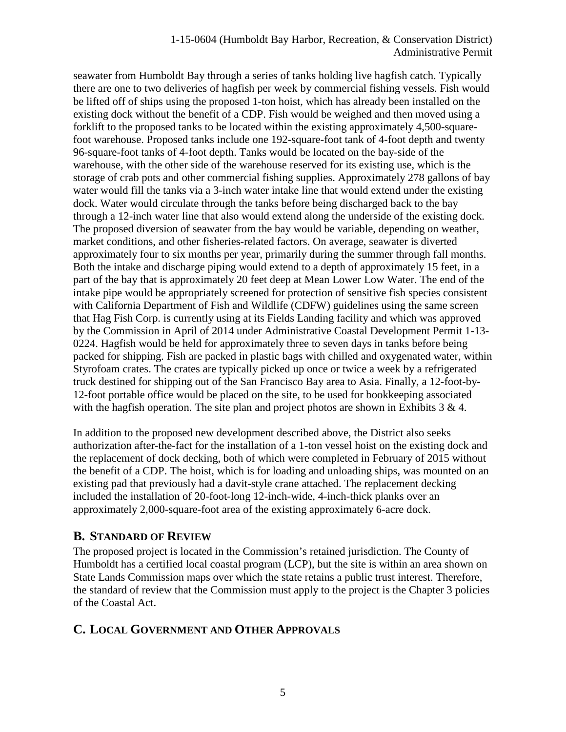seawater from Humboldt Bay through a series of tanks holding live hagfish catch. Typically there are one to two deliveries of hagfish per week by commercial fishing vessels. Fish would be lifted off of ships using the proposed 1-ton hoist, which has already been installed on the existing dock without the benefit of a CDP. Fish would be weighed and then moved using a forklift to the proposed tanks to be located within the existing approximately 4,500-squarefoot warehouse. Proposed tanks include one 192-square-foot tank of 4-foot depth and twenty 96-square-foot tanks of 4-foot depth. Tanks would be located on the bay-side of the warehouse, with the other side of the warehouse reserved for its existing use, which is the storage of crab pots and other commercial fishing supplies. Approximately 278 gallons of bay water would fill the tanks via a 3-inch water intake line that would extend under the existing dock. Water would circulate through the tanks before being discharged back to the bay through a 12-inch water line that also would extend along the underside of the existing dock. The proposed diversion of seawater from the bay would be variable, depending on weather, market conditions, and other fisheries-related factors. On average, seawater is diverted approximately four to six months per year, primarily during the summer through fall months. Both the intake and discharge piping would extend to a depth of approximately 15 feet, in a part of the bay that is approximately 20 feet deep at Mean Lower Low Water. The end of the intake pipe would be appropriately screened for protection of sensitive fish species consistent with California Department of Fish and Wildlife (CDFW) guidelines using the same screen that Hag Fish Corp. is currently using at its Fields Landing facility and which was approved by the Commission in April of 2014 under Administrative Coastal Development Permit 1-13- 0224. Hagfish would be held for approximately three to seven days in tanks before being packed for shipping. Fish are packed in plastic bags with chilled and oxygenated water, within Styrofoam crates. The crates are typically picked up once or twice a week by a refrigerated truck destined for shipping out of the San Francisco Bay area to Asia. Finally, a 12-foot-by-12-foot portable office would be placed on the site, to be used for bookkeeping associated with the hagfish operation. The site plan and project photos are shown in Exhibits  $3 \& 4$ .

In addition to the proposed new development described above, the District also seeks authorization after-the-fact for the installation of a 1-ton vessel hoist on the existing dock and the replacement of dock decking, both of which were completed in February of 2015 without the benefit of a CDP. The hoist, which is for loading and unloading ships, was mounted on an existing pad that previously had a davit-style crane attached. The replacement decking included the installation of 20-foot-long 12-inch-wide, 4-inch-thick planks over an approximately 2,000-square-foot area of the existing approximately 6-acre dock.

### **B. STANDARD OF REVIEW**

The proposed project is located in the Commission's retained jurisdiction. The County of Humboldt has a certified local coastal program (LCP), but the site is within an area shown on State Lands Commission maps over which the state retains a public trust interest. Therefore, the standard of review that the Commission must apply to the project is the Chapter 3 policies of the Coastal Act.

# **C. LOCAL GOVERNMENT AND OTHER APPROVALS**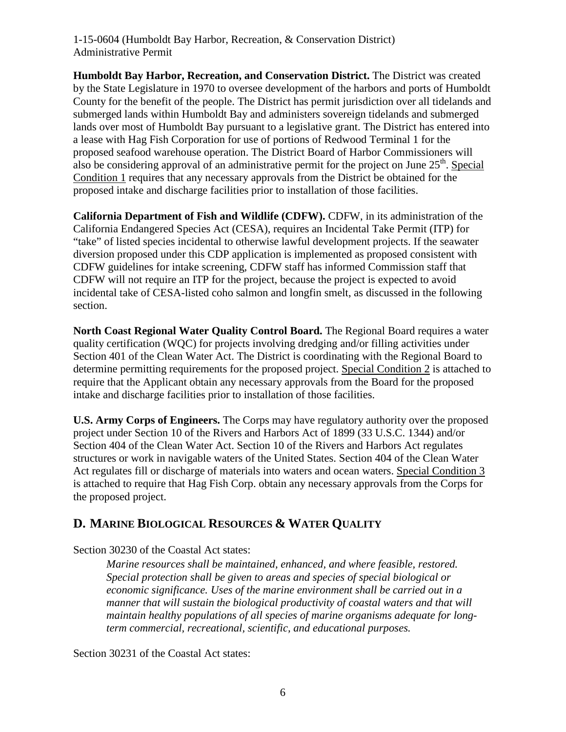**Humboldt Bay Harbor, Recreation, and Conservation District.** The District was created by the State Legislature in 1970 to oversee development of the harbors and ports of Humboldt County for the benefit of the people. The District has permit jurisdiction over all tidelands and submerged lands within Humboldt Bay and administers sovereign tidelands and submerged lands over most of Humboldt Bay pursuant to a legislative grant. The District has entered into a lease with Hag Fish Corporation for use of portions of Redwood Terminal 1 for the proposed seafood warehouse operation. The District Board of Harbor Commissioners will also be considering approval of an administrative permit for the project on June  $25<sup>th</sup>$ . Special Condition 1 requires that any necessary approvals from the District be obtained for the proposed intake and discharge facilities prior to installation of those facilities.

**California Department of Fish and Wildlife (CDFW).** CDFW, in its administration of the California Endangered Species Act (CESA), requires an Incidental Take Permit (ITP) for "take" of listed species incidental to otherwise lawful development projects. If the seawater diversion proposed under this CDP application is implemented as proposed consistent with CDFW guidelines for intake screening, CDFW staff has informed Commission staff that CDFW will not require an ITP for the project, because the project is expected to avoid incidental take of CESA-listed coho salmon and longfin smelt, as discussed in the following section.

**North Coast Regional Water Quality Control Board.** The Regional Board requires a water quality certification (WQC) for projects involving dredging and/or filling activities under Section 401 of the Clean Water Act. The District is coordinating with the Regional Board to determine permitting requirements for the proposed project. Special Condition 2 is attached to require that the Applicant obtain any necessary approvals from the Board for the proposed intake and discharge facilities prior to installation of those facilities.

**U.S. Army Corps of Engineers.** The Corps may have regulatory authority over the proposed project under Section 10 of the Rivers and Harbors Act of 1899 (33 U.S.C. 1344) and/or Section 404 of the Clean Water Act. Section 10 of the Rivers and Harbors Act regulates structures or work in navigable waters of the United States. Section 404 of the Clean Water Act regulates fill or discharge of materials into waters and ocean waters. Special Condition 3 is attached to require that Hag Fish Corp. obtain any necessary approvals from the Corps for the proposed project.

# **D. MARINE BIOLOGICAL RESOURCES & WATER QUALITY**

Section 30230 of the Coastal Act states:

*Marine resources shall be maintained, enhanced, and where feasible, restored. Special protection shall be given to areas and species of special biological or economic significance. Uses of the marine environment shall be carried out in a manner that will sustain the biological productivity of coastal waters and that will maintain healthy populations of all species of marine organisms adequate for longterm commercial, recreational, scientific, and educational purposes.* 

Section 30231 of the Coastal Act states: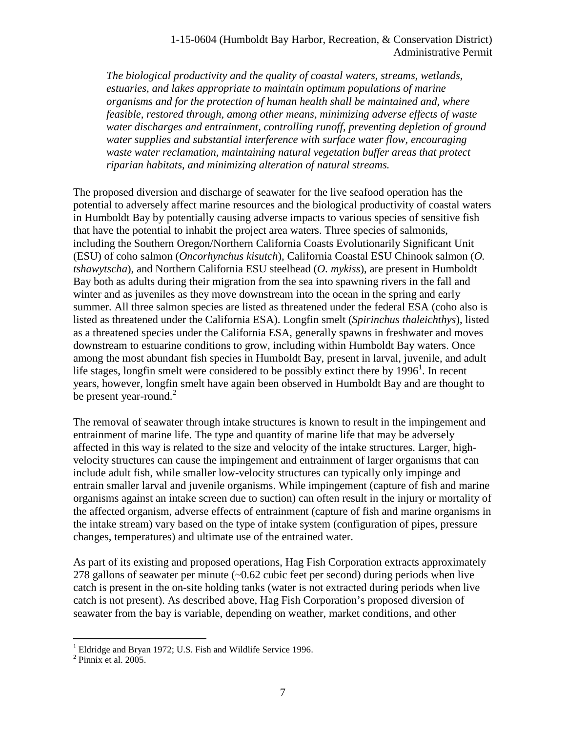*The biological productivity and the quality of coastal waters, streams, wetlands, estuaries, and lakes appropriate to maintain optimum populations of marine organisms and for the protection of human health shall be maintained and, where feasible, restored through, among other means, minimizing adverse effects of waste water discharges and entrainment, controlling runoff, preventing depletion of ground water supplies and substantial interference with surface water flow, encouraging waste water reclamation, maintaining natural vegetation buffer areas that protect riparian habitats, and minimizing alteration of natural streams.* 

The proposed diversion and discharge of seawater for the live seafood operation has the potential to adversely affect marine resources and the biological productivity of coastal waters in Humboldt Bay by potentially causing adverse impacts to various species of sensitive fish that have the potential to inhabit the project area waters. Three species of salmonids, including the Southern Oregon/Northern California Coasts Evolutionarily Significant Unit (ESU) of coho salmon (*Oncorhynchus kisutch*), California Coastal ESU Chinook salmon (*O. tshawytscha*), and Northern California ESU steelhead (*O. mykiss*), are present in Humboldt Bay both as adults during their migration from the sea into spawning rivers in the fall and winter and as juveniles as they move downstream into the ocean in the spring and early summer. All three salmon species are listed as threatened under the federal ESA (coho also is listed as threatened under the California ESA). Longfin smelt (*Spirinchus thaleichthys*), listed as a threatened species under the California ESA, generally spawns in freshwater and moves downstream to estuarine conditions to grow, including within Humboldt Bay waters. Once among the most abundant fish species in Humboldt Bay, present in larval, juvenile, and adult life stages, longfin smelt were considered to be possibly extinct there by  $1996<sup>1</sup>$ . In recent years, however, longfin smelt have again been observed in Humboldt Bay and are thought to be present year-round.<sup>2</sup>

The removal of seawater through intake structures is known to result in the impingement and entrainment of marine life. The type and quantity of marine life that may be adversely affected in this way is related to the size and velocity of the intake structures. Larger, highvelocity structures can cause the impingement and entrainment of larger organisms that can include adult fish, while smaller low-velocity structures can typically only impinge and entrain smaller larval and juvenile organisms. While impingement (capture of fish and marine organisms against an intake screen due to suction) can often result in the injury or mortality of the affected organism, adverse effects of entrainment (capture of fish and marine organisms in the intake stream) vary based on the type of intake system (configuration of pipes, pressure changes, temperatures) and ultimate use of the entrained water.

As part of its existing and proposed operations, Hag Fish Corporation extracts approximately 278 gallons of seawater per minute (~0.62 cubic feet per second) during periods when live catch is present in the on-site holding tanks (water is not extracted during periods when live catch is not present). As described above, Hag Fish Corporation's proposed diversion of seawater from the bay is variable, depending on weather, market conditions, and other

 $\overline{a}$ 

<sup>&</sup>lt;sup>1</sup> Eldridge and Bryan 1972; U.S. Fish and Wildlife Service 1996.<br><sup>2</sup> Pinnix et al. 2005.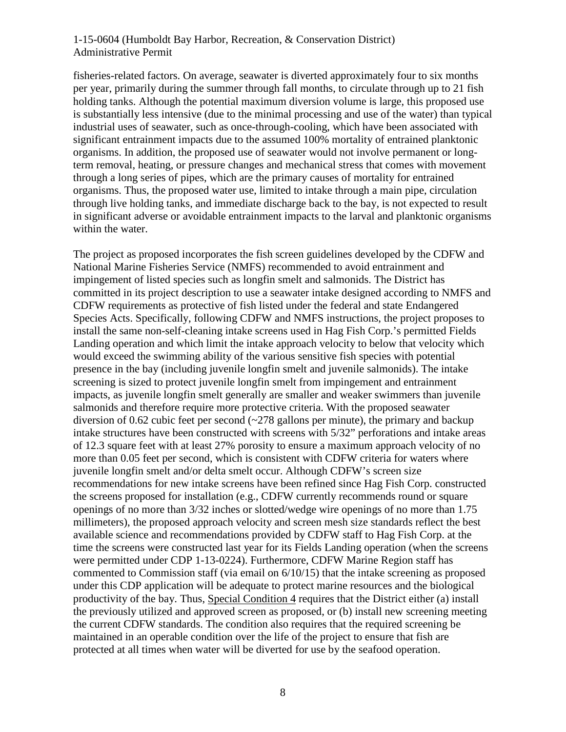fisheries-related factors. On average, seawater is diverted approximately four to six months per year, primarily during the summer through fall months, to circulate through up to 21 fish holding tanks. Although the potential maximum diversion volume is large, this proposed use is substantially less intensive (due to the minimal processing and use of the water) than typical industrial uses of seawater, such as once-through-cooling, which have been associated with significant entrainment impacts due to the assumed 100% mortality of entrained planktonic organisms. In addition, the proposed use of seawater would not involve permanent or longterm removal, heating, or pressure changes and mechanical stress that comes with movement through a long series of pipes, which are the primary causes of mortality for entrained organisms. Thus, the proposed water use, limited to intake through a main pipe, circulation through live holding tanks, and immediate discharge back to the bay, is not expected to result in significant adverse or avoidable entrainment impacts to the larval and planktonic organisms within the water.

The project as proposed incorporates the fish screen guidelines developed by the CDFW and National Marine Fisheries Service (NMFS) recommended to avoid entrainment and impingement of listed species such as longfin smelt and salmonids. The District has committed in its project description to use a seawater intake designed according to NMFS and CDFW requirements as protective of fish listed under the federal and state Endangered Species Acts. Specifically, following CDFW and NMFS instructions, the project proposes to install the same non-self-cleaning intake screens used in Hag Fish Corp.'s permitted Fields Landing operation and which limit the intake approach velocity to below that velocity which would exceed the swimming ability of the various sensitive fish species with potential presence in the bay (including juvenile longfin smelt and juvenile salmonids). The intake screening is sized to protect juvenile longfin smelt from impingement and entrainment impacts, as juvenile longfin smelt generally are smaller and weaker swimmers than juvenile salmonids and therefore require more protective criteria. With the proposed seawater diversion of 0.62 cubic feet per second  $\left(\sim 278$  gallons per minute), the primary and backup intake structures have been constructed with screens with 5/32" perforations and intake areas of 12.3 square feet with at least 27% porosity to ensure a maximum approach velocity of no more than 0.05 feet per second, which is consistent with CDFW criteria for waters where juvenile longfin smelt and/or delta smelt occur. Although CDFW's screen size recommendations for new intake screens have been refined since Hag Fish Corp. constructed the screens proposed for installation (e.g., CDFW currently recommends round or square openings of no more than 3/32 inches or slotted/wedge wire openings of no more than 1.75 millimeters), the proposed approach velocity and screen mesh size standards reflect the best available science and recommendations provided by CDFW staff to Hag Fish Corp. at the time the screens were constructed last year for its Fields Landing operation (when the screens were permitted under CDP 1-13-0224). Furthermore, CDFW Marine Region staff has commented to Commission staff (via email on 6/10/15) that the intake screening as proposed under this CDP application will be adequate to protect marine resources and the biological productivity of the bay. Thus, Special Condition 4 requires that the District either (a) install the previously utilized and approved screen as proposed, or (b) install new screening meeting the current CDFW standards. The condition also requires that the required screening be maintained in an operable condition over the life of the project to ensure that fish are protected at all times when water will be diverted for use by the seafood operation.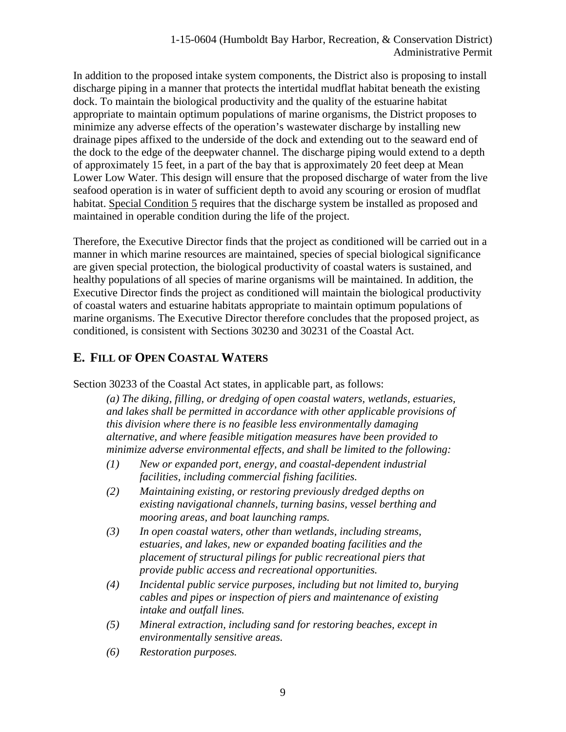In addition to the proposed intake system components, the District also is proposing to install discharge piping in a manner that protects the intertidal mudflat habitat beneath the existing dock. To maintain the biological productivity and the quality of the estuarine habitat appropriate to maintain optimum populations of marine organisms, the District proposes to minimize any adverse effects of the operation's wastewater discharge by installing new drainage pipes affixed to the underside of the dock and extending out to the seaward end of the dock to the edge of the deepwater channel. The discharge piping would extend to a depth of approximately 15 feet, in a part of the bay that is approximately 20 feet deep at Mean Lower Low Water. This design will ensure that the proposed discharge of water from the live seafood operation is in water of sufficient depth to avoid any scouring or erosion of mudflat habitat. Special Condition 5 requires that the discharge system be installed as proposed and maintained in operable condition during the life of the project.

Therefore, the Executive Director finds that the project as conditioned will be carried out in a manner in which marine resources are maintained, species of special biological significance are given special protection, the biological productivity of coastal waters is sustained, and healthy populations of all species of marine organisms will be maintained. In addition, the Executive Director finds the project as conditioned will maintain the biological productivity of coastal waters and estuarine habitats appropriate to maintain optimum populations of marine organisms. The Executive Director therefore concludes that the proposed project, as conditioned, is consistent with Sections 30230 and 30231 of the Coastal Act.

# **E. FILL OF OPEN COASTAL WATERS**

Section 30233 of the Coastal Act states, in applicable part, as follows:

*(a) The diking, filling, or dredging of open coastal waters, wetlands, estuaries, and lakes shall be permitted in accordance with other applicable provisions of this division where there is no feasible less environmentally damaging alternative, and where feasible mitigation measures have been provided to minimize adverse environmental effects, and shall be limited to the following:* 

- *(1) New or expanded port, energy, and coastal-dependent industrial facilities, including commercial fishing facilities.*
- *(2) Maintaining existing, or restoring previously dredged depths on existing navigational channels, turning basins, vessel berthing and mooring areas, and boat launching ramps.*
- *(3) In open coastal waters, other than wetlands, including streams, estuaries, and lakes, new or expanded boating facilities and the placement of structural pilings for public recreational piers that provide public access and recreational opportunities.*
- *(4) Incidental public service purposes, including but not limited to, burying cables and pipes or inspection of piers and maintenance of existing intake and outfall lines.*
- *(5) Mineral extraction, including sand for restoring beaches, except in environmentally sensitive areas.*
- *(6) Restoration purposes.*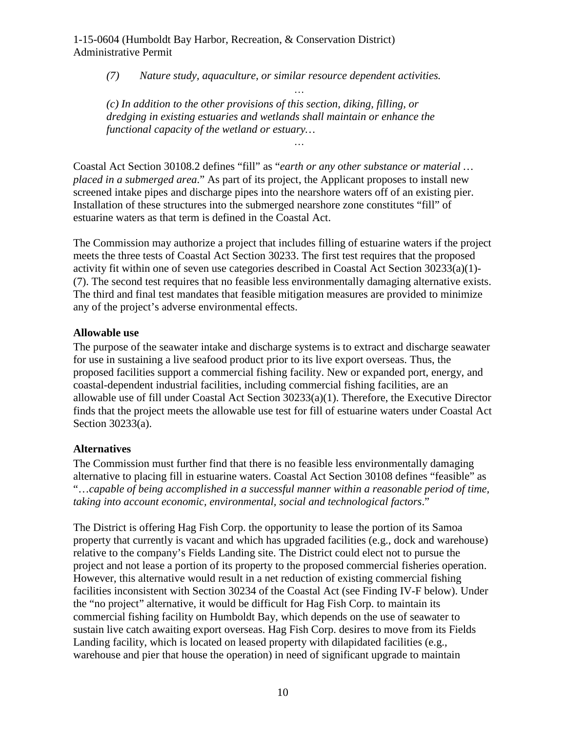*(7) Nature study, aquaculture, or similar resource dependent activities.* 

*…* 

*…* 

*(c) In addition to the other provisions of this section, diking, filling, or dredging in existing estuaries and wetlands shall maintain or enhance the functional capacity of the wetland or estuary…* 

Coastal Act Section 30108.2 defines "fill" as "*earth or any other substance or material … placed in a submerged area*." As part of its project, the Applicant proposes to install new screened intake pipes and discharge pipes into the nearshore waters off of an existing pier. Installation of these structures into the submerged nearshore zone constitutes "fill" of estuarine waters as that term is defined in the Coastal Act.

The Commission may authorize a project that includes filling of estuarine waters if the project meets the three tests of Coastal Act Section 30233. The first test requires that the proposed activity fit within one of seven use categories described in Coastal Act Section 30233(a)(1)- (7). The second test requires that no feasible less environmentally damaging alternative exists. The third and final test mandates that feasible mitigation measures are provided to minimize any of the project's adverse environmental effects.

#### **Allowable use**

The purpose of the seawater intake and discharge systems is to extract and discharge seawater for use in sustaining a live seafood product prior to its live export overseas. Thus, the proposed facilities support a commercial fishing facility. New or expanded port, energy, and coastal-dependent industrial facilities, including commercial fishing facilities, are an allowable use of fill under Coastal Act Section 30233(a)(1). Therefore, the Executive Director finds that the project meets the allowable use test for fill of estuarine waters under Coastal Act Section 30233(a).

#### **Alternatives**

The Commission must further find that there is no feasible less environmentally damaging alternative to placing fill in estuarine waters. Coastal Act Section 30108 defines "feasible" as "…*capable of being accomplished in a successful manner within a reasonable period of time, taking into account economic, environmental, social and technological factors*."

The District is offering Hag Fish Corp. the opportunity to lease the portion of its Samoa property that currently is vacant and which has upgraded facilities (e.g., dock and warehouse) relative to the company's Fields Landing site. The District could elect not to pursue the project and not lease a portion of its property to the proposed commercial fisheries operation. However, this alternative would result in a net reduction of existing commercial fishing facilities inconsistent with Section 30234 of the Coastal Act (see Finding IV-F below). Under the "no project" alternative, it would be difficult for Hag Fish Corp. to maintain its commercial fishing facility on Humboldt Bay, which depends on the use of seawater to sustain live catch awaiting export overseas. Hag Fish Corp. desires to move from its Fields Landing facility, which is located on leased property with dilapidated facilities (e.g., warehouse and pier that house the operation) in need of significant upgrade to maintain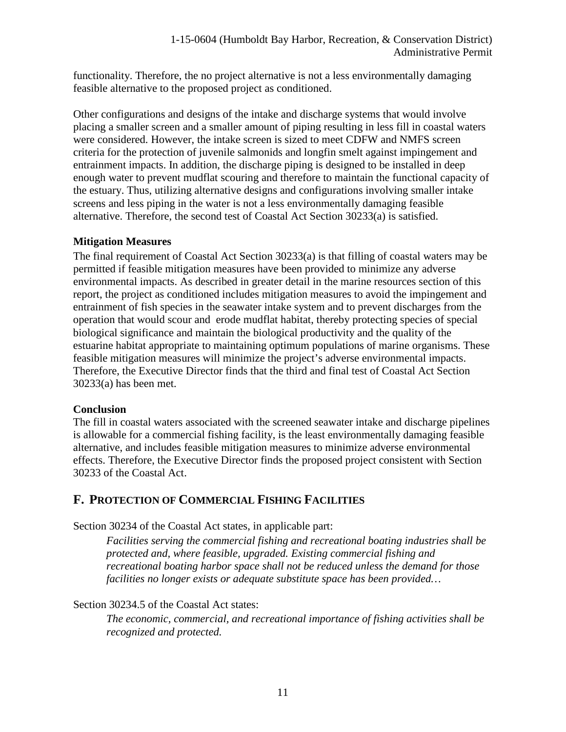functionality. Therefore, the no project alternative is not a less environmentally damaging feasible alternative to the proposed project as conditioned.

Other configurations and designs of the intake and discharge systems that would involve placing a smaller screen and a smaller amount of piping resulting in less fill in coastal waters were considered. However, the intake screen is sized to meet CDFW and NMFS screen criteria for the protection of juvenile salmonids and longfin smelt against impingement and entrainment impacts. In addition, the discharge piping is designed to be installed in deep enough water to prevent mudflat scouring and therefore to maintain the functional capacity of the estuary. Thus, utilizing alternative designs and configurations involving smaller intake screens and less piping in the water is not a less environmentally damaging feasible alternative. Therefore, the second test of Coastal Act Section 30233(a) is satisfied.

#### **Mitigation Measures**

The final requirement of Coastal Act Section 30233(a) is that filling of coastal waters may be permitted if feasible mitigation measures have been provided to minimize any adverse environmental impacts. As described in greater detail in the marine resources section of this report, the project as conditioned includes mitigation measures to avoid the impingement and entrainment of fish species in the seawater intake system and to prevent discharges from the operation that would scour and erode mudflat habitat, thereby protecting species of special biological significance and maintain the biological productivity and the quality of the estuarine habitat appropriate to maintaining optimum populations of marine organisms. These feasible mitigation measures will minimize the project's adverse environmental impacts. Therefore, the Executive Director finds that the third and final test of Coastal Act Section 30233(a) has been met.

#### **Conclusion**

The fill in coastal waters associated with the screened seawater intake and discharge pipelines is allowable for a commercial fishing facility, is the least environmentally damaging feasible alternative, and includes feasible mitigation measures to minimize adverse environmental effects. Therefore, the Executive Director finds the proposed project consistent with Section 30233 of the Coastal Act.

# **F. PROTECTION OF COMMERCIAL FISHING FACILITIES**

Section 30234 of the Coastal Act states, in applicable part:

*Facilities serving the commercial fishing and recreational boating industries shall be protected and, where feasible, upgraded. Existing commercial fishing and recreational boating harbor space shall not be reduced unless the demand for those facilities no longer exists or adequate substitute space has been provided…* 

#### Section 30234.5 of the Coastal Act states:

*The economic, commercial, and recreational importance of fishing activities shall be recognized and protected.*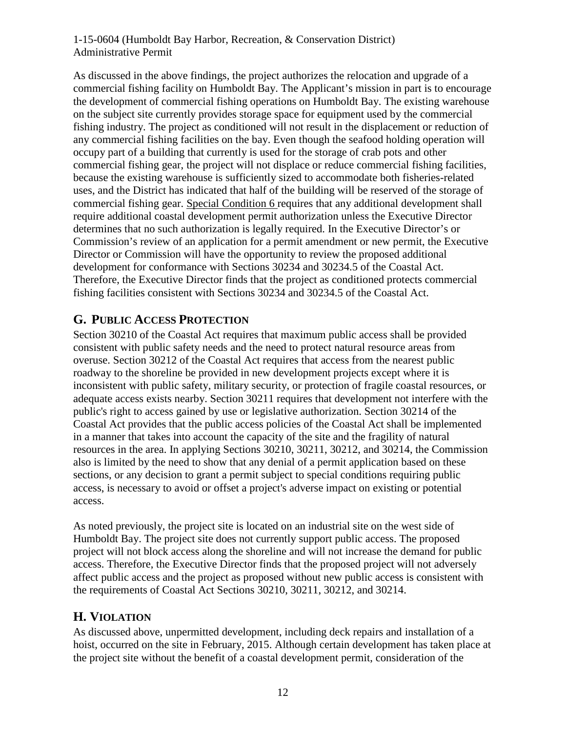As discussed in the above findings, the project authorizes the relocation and upgrade of a commercial fishing facility on Humboldt Bay. The Applicant's mission in part is to encourage the development of commercial fishing operations on Humboldt Bay. The existing warehouse on the subject site currently provides storage space for equipment used by the commercial fishing industry. The project as conditioned will not result in the displacement or reduction of any commercial fishing facilities on the bay. Even though the seafood holding operation will occupy part of a building that currently is used for the storage of crab pots and other commercial fishing gear, the project will not displace or reduce commercial fishing facilities, because the existing warehouse is sufficiently sized to accommodate both fisheries-related uses, and the District has indicated that half of the building will be reserved of the storage of commercial fishing gear. Special Condition 6 requires that any additional development shall require additional coastal development permit authorization unless the Executive Director determines that no such authorization is legally required. In the Executive Director's or Commission's review of an application for a permit amendment or new permit, the Executive Director or Commission will have the opportunity to review the proposed additional development for conformance with Sections 30234 and 30234.5 of the Coastal Act. Therefore, the Executive Director finds that the project as conditioned protects commercial fishing facilities consistent with Sections 30234 and 30234.5 of the Coastal Act.

# **G. PUBLIC ACCESS PROTECTION**

Section 30210 of the Coastal Act requires that maximum public access shall be provided consistent with public safety needs and the need to protect natural resource areas from overuse. Section 30212 of the Coastal Act requires that access from the nearest public roadway to the shoreline be provided in new development projects except where it is inconsistent with public safety, military security, or protection of fragile coastal resources, or adequate access exists nearby. Section 30211 requires that development not interfere with the public's right to access gained by use or legislative authorization. Section 30214 of the Coastal Act provides that the public access policies of the Coastal Act shall be implemented in a manner that takes into account the capacity of the site and the fragility of natural resources in the area. In applying Sections 30210, 30211, 30212, and 30214, the Commission also is limited by the need to show that any denial of a permit application based on these sections, or any decision to grant a permit subject to special conditions requiring public access, is necessary to avoid or offset a project's adverse impact on existing or potential access.

As noted previously, the project site is located on an industrial site on the west side of Humboldt Bay. The project site does not currently support public access. The proposed project will not block access along the shoreline and will not increase the demand for public access. Therefore, the Executive Director finds that the proposed project will not adversely affect public access and the project as proposed without new public access is consistent with the requirements of Coastal Act Sections 30210, 30211, 30212, and 30214.

# **H. VIOLATION**

As discussed above, unpermitted development, including deck repairs and installation of a hoist, occurred on the site in February, 2015. Although certain development has taken place at the project site without the benefit of a coastal development permit, consideration of the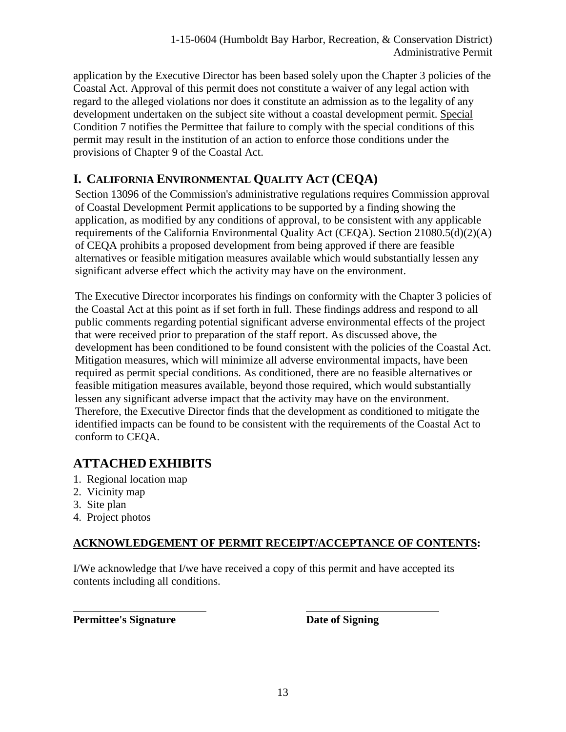application by the Executive Director has been based solely upon the Chapter 3 policies of the Coastal Act. Approval of this permit does not constitute a waiver of any legal action with regard to the alleged violations nor does it constitute an admission as to the legality of any development undertaken on the subject site without a coastal development permit. Special Condition 7 notifies the Permittee that failure to comply with the special conditions of this permit may result in the institution of an action to enforce those conditions under the provisions of Chapter 9 of the Coastal Act.

# **I. CALIFORNIA ENVIRONMENTAL QUALITY ACT (CEQA)**

Section 13096 of the Commission's administrative regulations requires Commission approval of Coastal Development Permit applications to be supported by a finding showing the application, as modified by any conditions of approval, to be consistent with any applicable requirements of the California Environmental Quality Act (CEQA). Section  $21080.5(d)(2)(A)$ of CEQA prohibits a proposed development from being approved if there are feasible alternatives or feasible mitigation measures available which would substantially lessen any significant adverse effect which the activity may have on the environment.

The Executive Director incorporates his findings on conformity with the Chapter 3 policies of the Coastal Act at this point as if set forth in full. These findings address and respond to all public comments regarding potential significant adverse environmental effects of the project that were received prior to preparation of the staff report. As discussed above, the development has been conditioned to be found consistent with the policies of the Coastal Act. Mitigation measures, which will minimize all adverse environmental impacts, have been required as permit special conditions. As conditioned, there are no feasible alternatives or feasible mitigation measures available, beyond those required, which would substantially lessen any significant adverse impact that the activity may have on the environment. Therefore, the Executive Director finds that the development as conditioned to mitigate the identified impacts can be found to be consistent with the requirements of the Coastal Act to conform to CEQA.

# **ATTACHED EXHIBITS**

- 1. Regional location map
- 2. Vicinity map
- 3. Site plan

 $\overline{a}$ 

4. Project photos

# **ACKNOWLEDGEMENT OF PERMIT RECEIPT/ACCEPTANCE OF CONTENTS:**

I/We acknowledge that I/we have received a copy of this permit and have accepted its contents including all conditions.

**Permittee's Signature Date of Signing Premittee's Signature Date of Signing**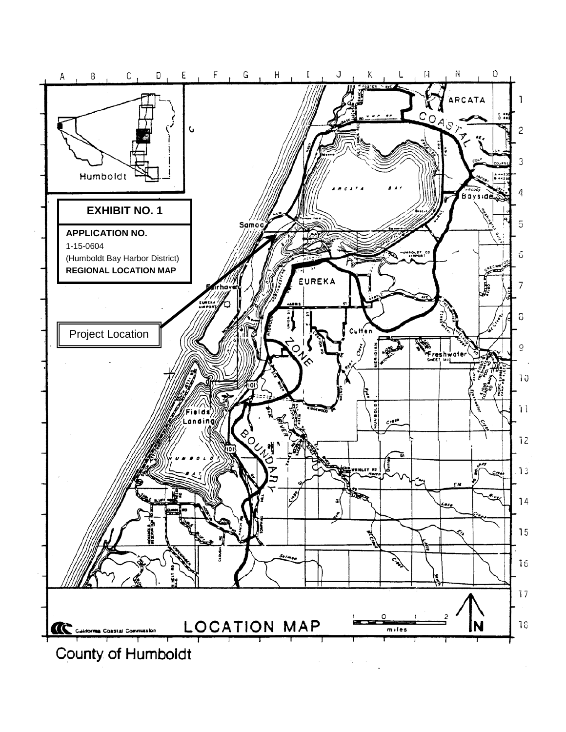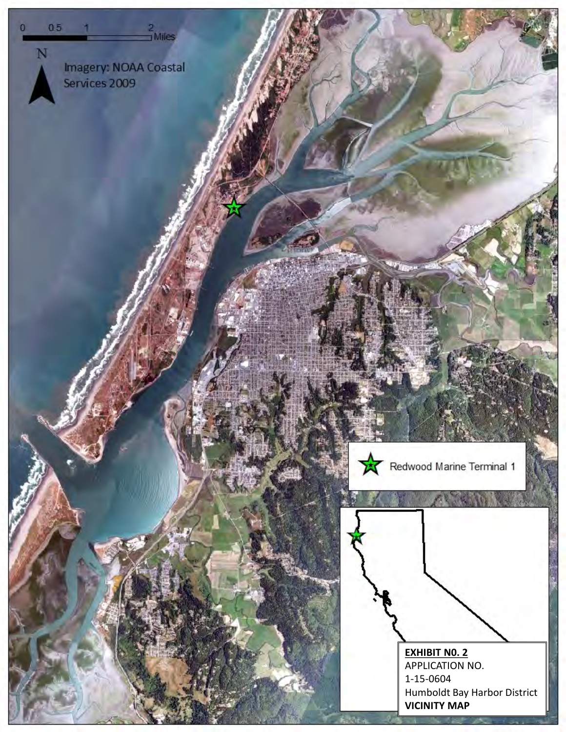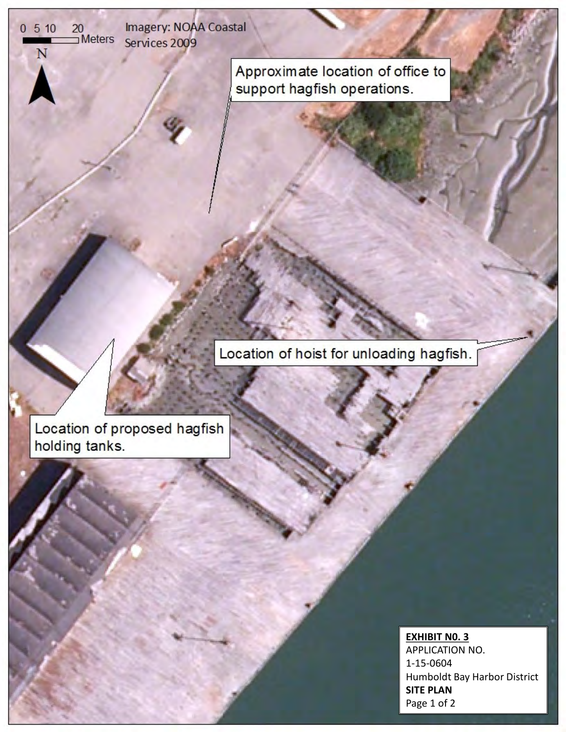Imagery: NOAA Coastal  $\frac{20}{1}$ Meters Services 2009

 $0510$ 

N

Approximate location of office to support hagfish operations.

Location of hoist for unloading hagfish.

Location of proposed hagfish holding tanks.

### **EXHIBIT N0. 3**

APPLICATION NO. 1-15-0604 Humboldt Bay Harbor District **SITE PLAN** Page 1 of 2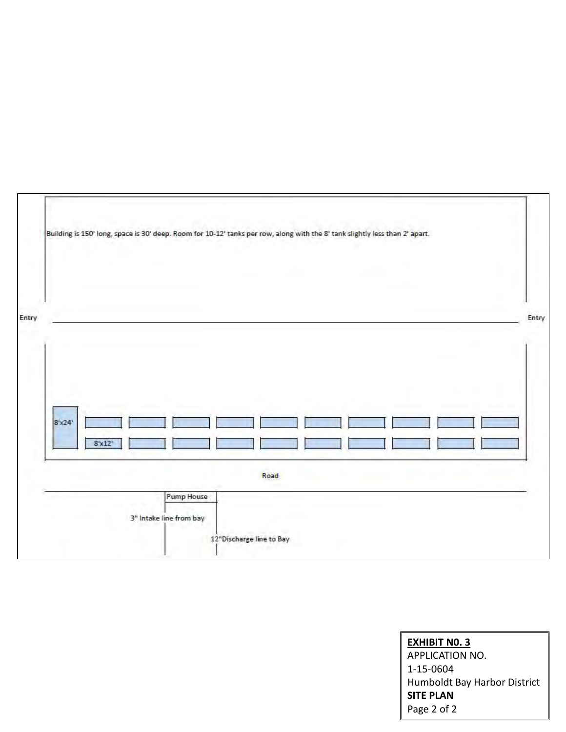| $8 - x24$ |        |            |      |  |  |  |
|-----------|--------|------------|------|--|--|--|
|           | 8'x12' |            |      |  |  |  |
|           |        | Pump House | Road |  |  |  |

**EXHIBIT N0. 3** APPLICATION NO. 1-15-0604 Humboldt Bay Harbor District **SITE PLAN** Page 2 of 2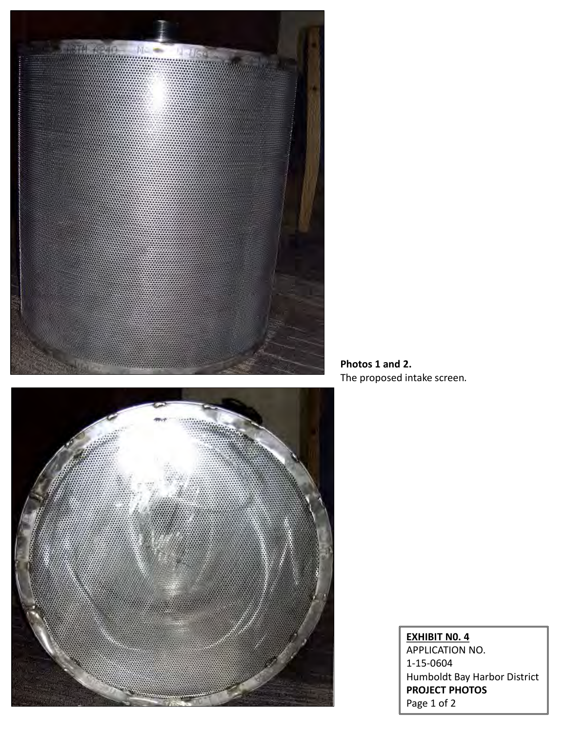

**Photos 1 and 2.**  The proposed intake screen*.* 



### **EXHIBIT N0. 4**  APPLICATION NO. 1-15-0604 Humboldt Bay Harbor District **PROJECT PHOTOS** Page 1 of 2